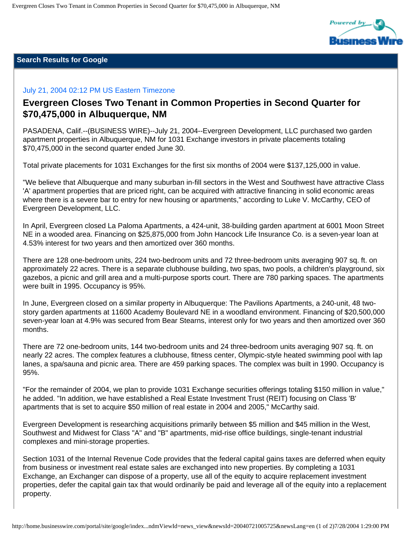

## **Search Results for Google**

## July 21, 2004 02:12 PM US Eastern Timezone

## **Evergreen Closes Two Tenant in Common Properties in Second Quarter for \$70,475,000 in Albuquerque, NM**

PASADENA, Calif.--(BUSINESS WIRE)--July 21, 2004--Evergreen Development, LLC purchased two garden apartment properties in Albuquerque, NM for 1031 Exchange investors in private placements totaling \$70,475,000 in the second quarter ended June 30.

Total private placements for 1031 Exchanges for the first six months of 2004 were \$137,125,000 in value.

"We believe that Albuquerque and many suburban in-fill sectors in the West and Southwest have attractive Class 'A' apartment properties that are priced right, can be acquired with attractive financing in solid economic areas where there is a severe bar to entry for new housing or apartments," according to Luke V. McCarthy, CEO of Evergreen Development, LLC.

In April, Evergreen closed La Paloma Apartments, a 424-unit, 38-building garden apartment at 6001 Moon Street NE in a wooded area. Financing on \$25,875,000 from John Hancock Life Insurance Co. is a seven-year loan at 4.53% interest for two years and then amortized over 360 months.

There are 128 one-bedroom units, 224 two-bedroom units and 72 three-bedroom units averaging 907 sq. ft. on approximately 22 acres. There is a separate clubhouse building, two spas, two pools, a children's playground, six gazebos, a picnic and grill area and a multi-purpose sports court. There are 780 parking spaces. The apartments were built in 1995. Occupancy is 95%.

In June, Evergreen closed on a similar property in Albuquerque: The Pavilions Apartments, a 240-unit, 48 twostory garden apartments at 11600 Academy Boulevard NE in a woodland environment. Financing of \$20,500,000 seven-year loan at 4.9% was secured from Bear Stearns, interest only for two years and then amortized over 360 months.

There are 72 one-bedroom units, 144 two-bedroom units and 24 three-bedroom units averaging 907 sq. ft. on nearly 22 acres. The complex features a clubhouse, fitness center, Olympic-style heated swimming pool with lap lanes, a spa/sauna and picnic area. There are 459 parking spaces. The complex was built in 1990. Occupancy is 95%.

"For the remainder of 2004, we plan to provide 1031 Exchange securities offerings totaling \$150 million in value," he added. "In addition, we have established a Real Estate Investment Trust (REIT) focusing on Class 'B' apartments that is set to acquire \$50 million of real estate in 2004 and 2005," McCarthy said.

Evergreen Development is researching acquisitions primarily between \$5 million and \$45 million in the West, Southwest and Midwest for Class "A" and "B" apartments, mid-rise office buildings, single-tenant industrial complexes and mini-storage properties.

Section 1031 of the Internal Revenue Code provides that the federal capital gains taxes are deferred when equity from business or investment real estate sales are exchanged into new properties. By completing a 1031 Exchange, an Exchanger can dispose of a property, use all of the equity to acquire replacement investment properties, defer the capital gain tax that would ordinarily be paid and leverage all of the equity into a replacement property.